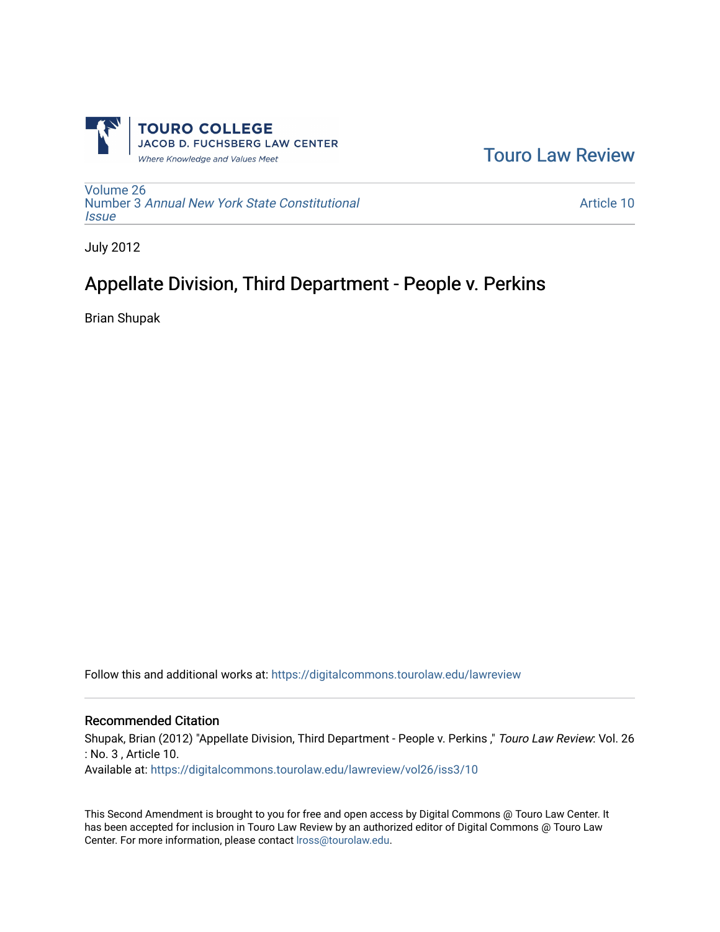

[Touro Law Review](https://digitalcommons.tourolaw.edu/lawreview) 

[Volume 26](https://digitalcommons.tourolaw.edu/lawreview/vol26) Number 3 [Annual New York State Constitutional](https://digitalcommons.tourolaw.edu/lawreview/vol26/iss3) **[Issue](https://digitalcommons.tourolaw.edu/lawreview/vol26/iss3)** 

[Article 10](https://digitalcommons.tourolaw.edu/lawreview/vol26/iss3/10) 

July 2012

# Appellate Division, Third Department - People v. Perkins

Brian Shupak

Follow this and additional works at: [https://digitalcommons.tourolaw.edu/lawreview](https://digitalcommons.tourolaw.edu/lawreview?utm_source=digitalcommons.tourolaw.edu%2Flawreview%2Fvol26%2Fiss3%2F10&utm_medium=PDF&utm_campaign=PDFCoverPages)

#### Recommended Citation

Shupak, Brian (2012) "Appellate Division, Third Department - People v. Perkins," Touro Law Review: Vol. 26 : No. 3 , Article 10. Available at: [https://digitalcommons.tourolaw.edu/lawreview/vol26/iss3/10](https://digitalcommons.tourolaw.edu/lawreview/vol26/iss3/10?utm_source=digitalcommons.tourolaw.edu%2Flawreview%2Fvol26%2Fiss3%2F10&utm_medium=PDF&utm_campaign=PDFCoverPages) 

This Second Amendment is brought to you for free and open access by Digital Commons @ Touro Law Center. It has been accepted for inclusion in Touro Law Review by an authorized editor of Digital Commons @ Touro Law Center. For more information, please contact [lross@tourolaw.edu](mailto:lross@tourolaw.edu).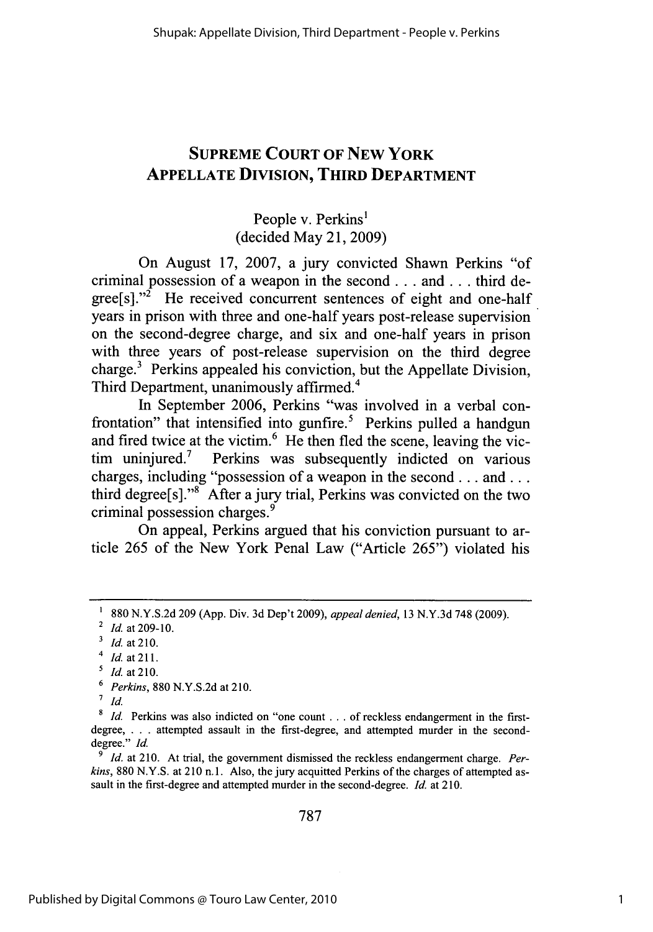# **SUPREME COURT OF NEW YORK APPELLATE DIVISION, THIRD DEPARTMENT**

# People v. Perkins' (decided May 21, **2009)**

On August **17, 2007,** a jury convicted Shawn Perkins "of criminal possession of a weapon in the second **...** and **...** third de $grees[]$ ."<sup>2</sup> He received concurrent sentences of eight and one-half years in prison with three and one-half years post-release supervision on the second-degree charge, and six and one-half years in prison with three years of post-release supervision on the third degree charge. $3$  Perkins appealed his conviction, but the Appellate Division, Third Department, unanimously affirmed.4

In September **2006,** Perkins "was involved in a verbal confrontation" that intensified into gunfire. $5$  Perkins pulled a handgun and fired twice at the victim. $<sup>6</sup>$  He then fled the scene, leaving the vic-</sup> tim uninjured.7 Perkins was subsequently indicted on various charges, including "possession of a weapon in the second. **. .** and **...** third degree[s]."<sup>8</sup> After a jury trial, Perkins was convicted on the two criminal possession charges.<sup>9</sup>

On appeal, Perkins argued that his conviction pursuant to article **265** of the New York Penal Law ("Article *265")* violated his

s *Id.* at **210.**

*Id.* at 210. At trial, the government dismissed the reckless endangerment charge. Perkins, **880 N.Y.S.** at 210 n.1. Also, the jury acquitted Perkins of the charges of attempted assault in the first-degree and attempted murder in the second-degree. *Id.* at **210.**

**787**

**<sup>&#</sup>x27; 880 N.Y.S.2d 209 (App.** Div. **3d** Dep't **2009),** *appeal denied,* **13 N.Y.3d 748 (2009). <sup>2</sup>***Id.* at **209-10.**

**<sup>&#</sup>x27;** *Id.* at **210.**

<sup>4</sup>*Id.* at **211.**

**<sup>6</sup>** *Perkins,* **880 N.Y.S.2d** at **210.**

*<sup>7</sup>id.*

**<sup>8</sup>** *Id.* Perkins was also indicted on "one count **...** of reckless endangerment in the firstdegree, **. . .** attempted assault in the first-degree, and attempted murder **in** the seconddegree." *Id*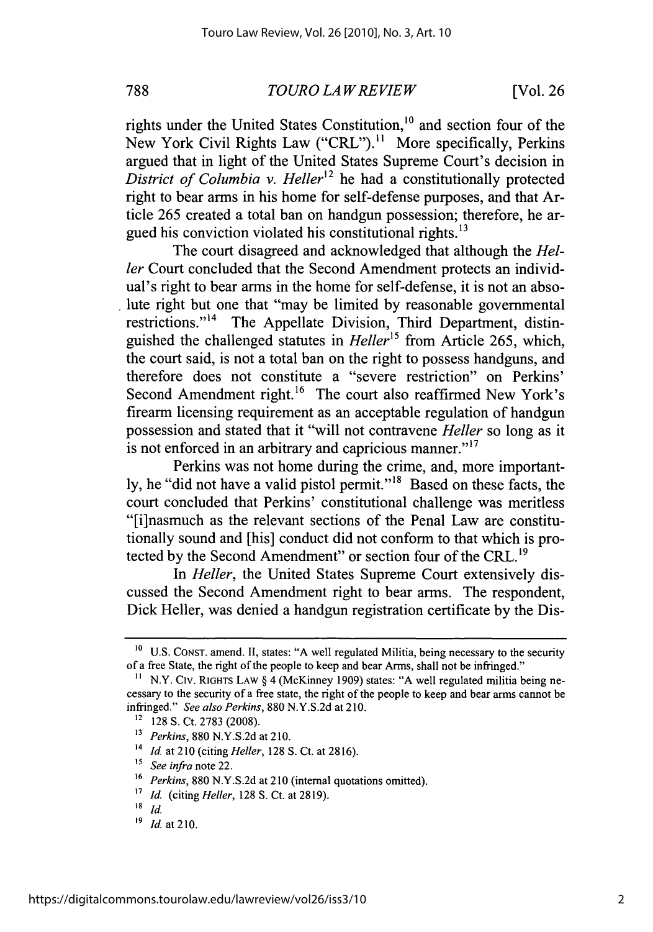*TOUROLAWREVIEW* **788** [Vol. **26**

rights under the United States Constitution, $10$  and section four of the New York Civil Rights Law ("CRL").<sup>11</sup> More specifically, Perkins argued that in light of the United States Supreme Court's decision in *District of Columbia v. Heller*<sup>12</sup> he had a constitutionally protected right to bear arms in his home for self-defense purposes, and that Article **265** created a total ban on handgun possession; therefore, he argued his conviction violated his constitutional rights.<sup>13</sup>

The court disagreed and acknowledged that although the *Heller* Court concluded that the Second Amendment protects an individual's right to bear arms in the home for self-defense, it is not an absolute right but one that "may be limited **by** reasonable governmental restrictions."<sup>14</sup> The Appellate Division, Third Department, distinguished the challenged statutes in *Heller"* from Article **265,** which, the court said, is not a total ban on the right to possess handguns, and therefore does not constitute a "severe restriction" on Perkins' Second Amendment right.<sup>16</sup> The court also reaffirmed New York's firearm licensing requirement as an acceptable regulation of handgun possession and stated that it "will not contravene *Heller* so long as it is not enforced in an arbitrary and capricious manner."<sup>17</sup>

Perkins was not home during the crime, and, more importantly, he "did not have a valid pistol permit."<sup>18</sup> Based on these facts, the court concluded that Perkins' constitutional challenge was meritless "[i]nasmuch as the relevant sections of the Penal Law are constitutionally sound and [his] conduct did not conform to that which is protected by the Second Amendment" or section four of the CRL.<sup>19</sup>

*In Heller,* the United States Supreme Court extensively discussed the Second Amendment right to bear arms. The respondent, Dick Heller, was denied a handgun registration certificate **by** the Dis-

**<sup>10</sup> U.S. CONST.** amend. **II,** states: **"A** well regulated Militia, being necessary to the security of a free State, the right of the people to keep and bear Arms, shall not be infringed."

**<sup>1</sup>** N.Y. Civ. RIGHTS LAW **§** 4 (McKinney **1909)** states: **"A** well regulated militia being necessary to the security of a free state, the right of the people to keep and bear arms cannot be infringed." *See also Perkins,* **880 N.Y.S.2d** at 210.

**<sup>12</sup>128 S.** Ct. **2783 (2008).**

<sup>13</sup>*Perkins,* **880 N.Y.S.2d** at 210.

<sup>14</sup>*Id* at **210** (citing *Heller,* **128 S.** Ct. at **2816).**

*<sup>5</sup> See infra note 22.*

**<sup>16</sup>***Perkins,* **880 N.Y.S.2d** at **210** (internal quotations omitted).

**<sup>1</sup>** *Id. (citing Heller,* **128 S.** Ct. at **2819).**

**<sup>18</sup>** *Id*

**<sup>&#</sup>x27;9** *Id* at **210.**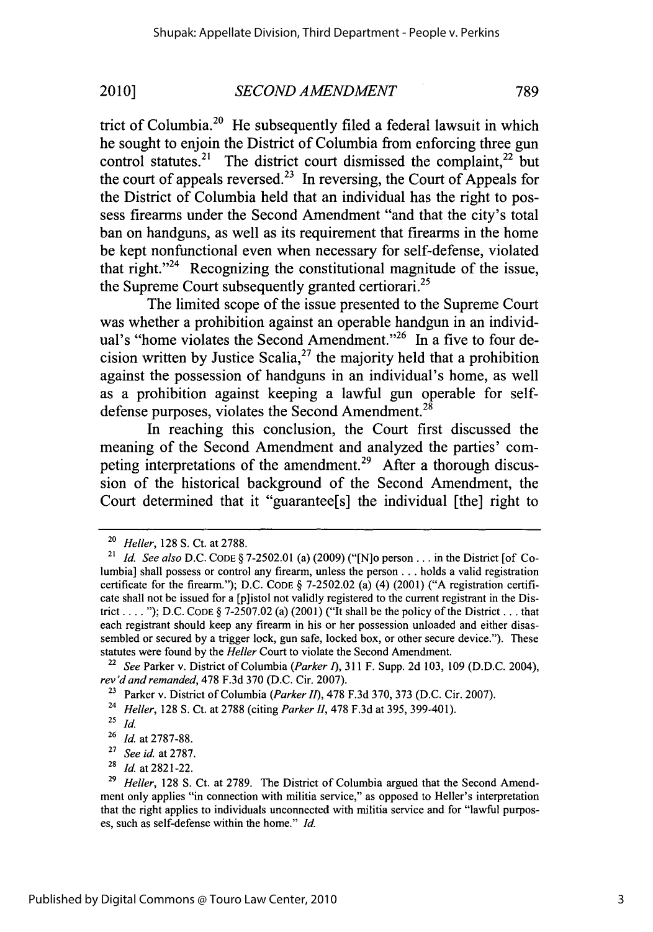trict of Columbia.<sup>20</sup> He subsequently filed a federal lawsuit in which he sought to enjoin the District of Columbia from enforcing three gun control statutes.<sup>21</sup> The district court dismissed the complaint,<sup>22</sup> but the court of appeals reversed.<sup>23</sup> In reversing, the Court of Appeals for the District of Columbia held that an individual has the right to possess firearms under the Second Amendment "and that the city's total ban on handguns, as well as its requirement that firearms in the home be kept nonfunctional even when necessary for self-defense, violated that right. $124$  Recognizing the constitutional magnitude of the issue, the Supreme Court subsequently granted certiorari.<sup>25</sup>

The limited scope of the issue presented to the Supreme Court was whether a prohibition against an operable handgun in an individual's "home violates the Second Amendment."<sup>26</sup> In a five to four decision written by Justice Scalia,<sup>27</sup> the majority held that a prohibition against the possession of handguns in an individual's home, as well as a prohibition against keeping a lawful gun operable for selfdefense purposes, violates the Second Amendment.<sup>28</sup>

In reaching this conclusion, the Court first discussed the meaning of the Second Amendment and analyzed the parties' competing interpretations of the amendment.<sup>29</sup> After a thorough discussion of the historical background of the Second Amendment, the Court determined that it "guarantee[s] the individual [the] right to

**<sup>22</sup>***See* Parker v. District of Columbia *(Parker 1), 311* F. Supp. **2d 103, 109 (D.D.C.** 2004), *rev'd and remanded,* **478 F.3d 370 (D.C.** Cir. **2007).**

**<sup>23</sup>**Parker v. District of Columbia *(Parker II),* **478 F.3d 370, 373 (D.C.** Cir. **2007).**

**<sup>25</sup>***id.*

**<sup>28</sup>***Id.* at **2821-22.**

**<sup>20</sup>***Heller,* **128 S.** Ct. at **2788.**

**<sup>21</sup>***Id. See also* **D.C. CODE § 7-2502.01** (a) **(2009)** ("[N]o person **.. .** in the District [of Columbia] shall possess or control any firearm, unless the person **. ..** holds a valid registration certificate for the firearm."); **D.C. CODE § 7-2502.02** (a) (4) (2001) **("A** registration certificate shall not be issued for a [p]istol not validly registered to the current registrant in the District **..... ); D.C. CODE § 7-2507.02** (a) (2001) ("It shall be the policy of the District **. ..** that each registrant should keep any firearm in his or her possession unloaded and either disassembled or secured **by** a trigger lock, gun safe, locked box, or other secure device."). These statutes were found **by** the *Heller* Court to violate the Second Amendment.

**<sup>24</sup>***Heller,* **128 S.** Ct. at **2788** (citing *Parker II,* **478 F.3d** at **395,** 399-401).

**<sup>26</sup>***Id.* at **2787-88.**

**<sup>27</sup>***See id.* at **2787.**

**<sup>29</sup>** *Heller,* **128 S.** Ct. at **2789.** The District of Columbia argued that the Second Amendment only applies "in connection with militia service," as opposed to Heller's interpretation that the right applies to individuals unconnected with militia service and for "lawful purposes, such as self-defense within the home." *Id.*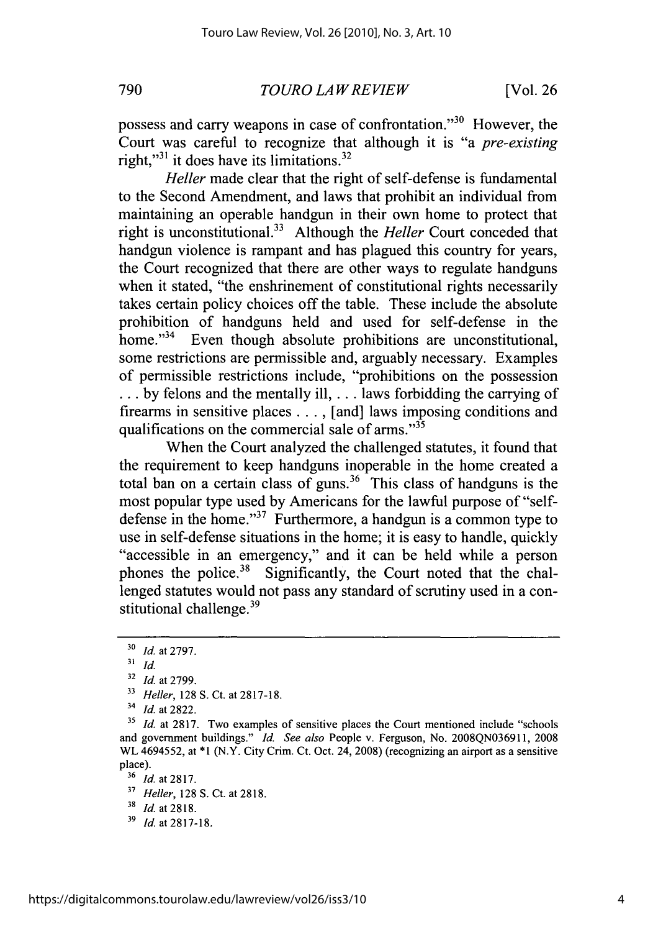*TOURO LAWREVIEW* **790** [Vol. **26**

possess and carry weapons in case of confrontation."<sup>30</sup> However, the Court was careful to recognize that although it is "a *pre-existing* right,"<sup>31</sup> it does have its limitations. $32$ 

*Heller* made clear that the right of self-defense is fundamental to the Second Amendment, and laws that prohibit an individual from maintaining an operable handgun in their own home to protect that right is unconstitutional.33 Although the *Heller* Court conceded that handgun violence is rampant and has plagued this country for years, the Court recognized that there are other ways to regulate handguns when it stated, "the enshrinement of constitutional rights necessarily takes certain policy choices off the table. These include the absolute prohibition of handguns held and used for self-defense in the home."<sup>34</sup> Even though absolute prohibitions are unconstitutional, some restrictions are permissible and, arguably necessary. Examples of permissible restrictions include, "prohibitions on the possession **... by** felons and the mentally ill, **...** laws forbidding the carrying of firearms in sensitive places **. . . ,** [and] laws imposing conditions and qualifications on the commercial sale of arms."<sup>35</sup>

When the Court analyzed the challenged statutes, it found that the requirement to keep handguns inoperable in the home created a total ban on a certain class of guns.<sup>36</sup> This class of handguns is the most popular type used **by** Americans for the lawful purpose of "selfdefense in the home." $37$  Furthermore, a handgun is a common type to use in self-defense situations in the home; it is easy to handle, quickly "accessible in an emergency," and it can be held while a person phones the police.<sup>38</sup> Significantly, the Court noted that the challenged statutes would not pass any standard of scrutiny used in a constitutional challenge.<sup>39</sup>

**<sup>30</sup>***Id. at* **2797.**

**<sup>31</sup>***id.*

**<sup>32</sup>***Id at* **2799.**

**<sup>33</sup>***Heller,* **128 S.** Ct. at **2817-18.**

**<sup>34</sup>***Id.* at **2822.**

<sup>&</sup>lt;sup>35</sup> *Id.* at 2817. Two examples of sensitive places the Court mentioned include "schools and government buildings." *Id. See also* People v. Ferguson, No. **2008QN036911, 2008** WL 4694552, at **\*1** (N.Y. City Crim. Ct. Oct. 24, **2008)** (recognizing an airport as a sensitive place).

**<sup>36</sup>***Id.* at **2817.**

<sup>3</sup> *Heller,* **128 S.** Ct. at **2818.**

**<sup>38</sup>** *Id.* at **2818.**

**<sup>&#</sup>x27;9** *Id. at 2817-18.*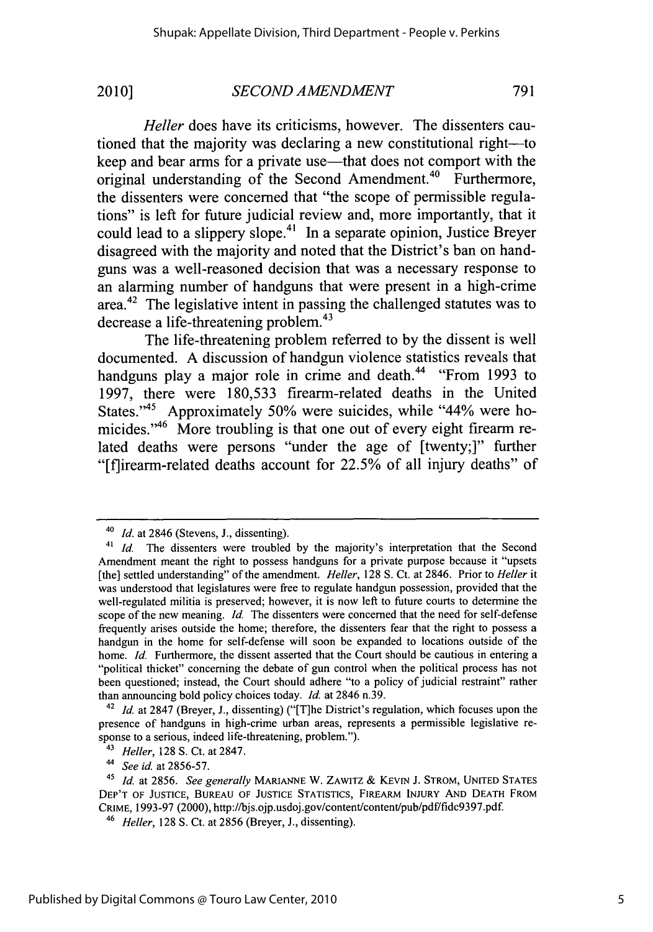*Heller* does have its criticisms, however. The dissenters cautioned that the majority was declaring a new constitutional right-to keep and bear arms for a private use—that does not comport with the original understanding of the Second Amendment.<sup>40</sup> Furthermore, the dissenters were concerned that "the scope of permissible regulations" is left for future judicial review and, more importantly, that it could lead to a slippery slope.<sup>41</sup> In a separate opinion, Justice Breyer disagreed with the majority and noted that the District's ban on handguns was a well-reasoned decision that was a necessary response to an alarming number of handguns that were present in a high-crime area. $42$  The legislative intent in passing the challenged statutes was to decrease a life-threatening problem.<sup>43</sup>

The life-threatening problem referred to **by** the dissent is well documented. **A** discussion of handgun violence statistics reveals that handguns play a major role in crime and death." "From **1993** to **1997,** there were **180,533** firearm-related deaths in the United States."45 Approximately *50%* were suicides, while "44% were homicides."<sup>46</sup> More troubling is that one out of every eight firearm related deaths were persons "under the age of [twenty;]" further "[flirearm-related deaths account for **22.5%** of all injury deaths" of

**<sup>40</sup>***Id. at* 2846 (Stevens, **J.,** dissenting).

<sup>41</sup> *Id.* The dissenters were troubled **by** the majority's interpretation that the Second Amendment meant the right to possess handguns for a private purpose because it "upsets [the] settled understanding" of the amendment. *Heller,* **128 S.** Ct. at 2846. Prior to *Heller it* was understood that legislatures were free to regulate handgun possession, provided that the well-regulated militia is preserved; however, it is now left to future courts to determine the scope of the new meaning. *Id.* The dissenters were concerned that the need for self-defense frequently arises outside the home; therefore, the dissenters fear that the right to possess a handgun in the home for self-defense will soon be expanded to locations outside of the home. *Id.* Furthermore, the dissent asserted that the Court should be cautious in entering a "political thicket" concerning the debate of gun control when the political process has not been questioned; instead, the Court should adhere "to a policy of judicial restraint" rather than announcing bold policy choices today. *Id.* at 2846 n.39.

**<sup>42</sup>***Id.* at **2847** (Breyer, **J.,** dissenting) ("[T]he District's regulation, which focuses upon the presence of handguns in high-crime urban areas, represents a permissible legislative response to a serious, indeed life-threatening, problem.").

<sup>43</sup>*Heller,* **128 S.** Ct. at **2847.**

*<sup>44</sup> See id.* at **2856-57.**

<sup>45</sup>*Id.* at **2856.** *See generally* **MARIANNE** W. **ZAWITZ** *&* **KEVIN J. STROM, UNITED STATES DEP'T OF JUSTICE, BUREAU OF JUSTICE STATISTICS, FIREARM INJURY AND DEATH FROM** CRIME, 1993-97 (2000), http://bjs.ojp.usdoj.gov/content/content/pub/pdf/fidc9397.pdf.

**<sup>46</sup>***Heller,* **128 S.** Ct. at **2856** (Breyer, **J.,** dissenting).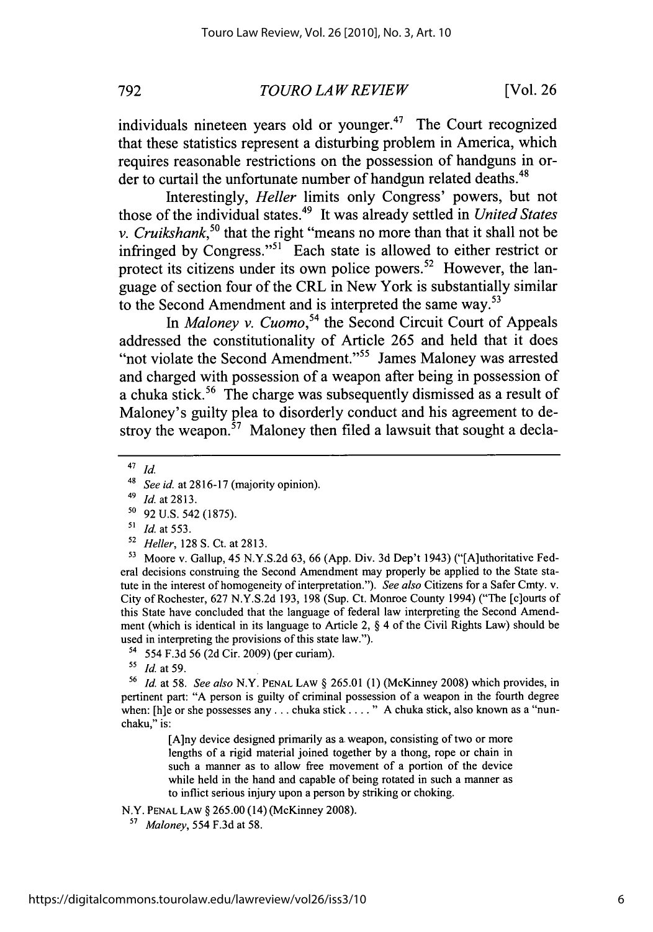**792** *TOURO LAWREVIEW* [Vol. **26**

individuals nineteen years old or younger. $47$  The Court recognized that these statistics represent a disturbing problem in America, which requires reasonable restrictions on the possession of handguns in order to curtail the unfortunate number of handgun related deaths.<sup>48</sup>

Interestingly, *Heller* limits only Congress' powers, but not those of the individual states.49 It was already settled in *United States v. Cruikshank,50* that the right "means no more than that it shall not be infringed by Congress."<sup>51</sup> Each state is allowed to either restrict or protect its citizens under its own police powers. 52 However, the language of section four of the CRL in New York is substantially similar to the Second Amendment and is interpreted the same way.<sup>53</sup>

In *Maloney v. Cuomo*,<sup>54</sup> the Second Circuit Court of Appeals addressed the constitutionality of Article **265** and held that it does "not violate the Second Amendment."<sup>55</sup> James Maloney was arrested and charged with possession of a weapon after being in possession of a chuka stick.<sup>56</sup> The charge was subsequently dismissed as a result of Maloney's guilty plea to disorderly conduct and his agreement to destroy the weapon.<sup>57</sup> Maloney then filed a lawsuit that sought a decla-

- **50 92 U.S.** 542 **(1875).**
- *SId.* at **553.**
- <sup>52</sup>*Heller,* **128 S.** Ct. at **2813.**

**5** Moore v. Gallup, 45 **N.Y.S.2d 63, 66 (App.** Div. **3d** Dep't 1943) ("[Aluthoritative Federal decisions construing the Second Amendment may properly be applied to the State statute in the interest of homogeneity of interpretation."). *See also* Citizens for a Safer Cmty. v. City of Rochester, **627 N.Y.S.2d 193, 198** (Sup. Ct. Monroe County 1994) ("The [c]ourts of this State have concluded that the language of federal law interpreting the Second Amendment (which is identical in its language to Article 2, **§** 4 of the Civil Rights Law) should be used in interpreting the provisions of this state law.").

**<sup>56</sup>***Id.* at **58.** *See also* N.Y. **PENAL LAW § 265.01 (1)** (McKinney **2008)** which provides, in pertinent part: **"A** person is guilty of criminal possession of a weapon in the fourth degree when: [h]e or she possesses any ... chuka stick .... " A chuka stick, also known as a "nunchaku," is:

> [A]ny device designed primarily as a weapon, consisting of two or more lengths of a rigid material joined together **by** a thong, rope or chain in such a manner as to allow free movement of a portion of the device while held in the hand and capable of being rotated in such a manner as to inflict **serious injury upon a person by** striking or choking.

N.Y. **PENAL LAW § 265.00** (14) (McKinney **2008).**

**5** *Maloney,* 554 **F.3d** at **58.**

<sup>47</sup> *id.*

**<sup>48</sup>***See id. at* **2816-17** (majority opinion).

<sup>49</sup>*Id.* at **2813.**

<sup>54 554</sup> **F.3d 56 (2d** Cir. **2009)** (per curiam).

*<sup>15</sup>Id.* at **59.**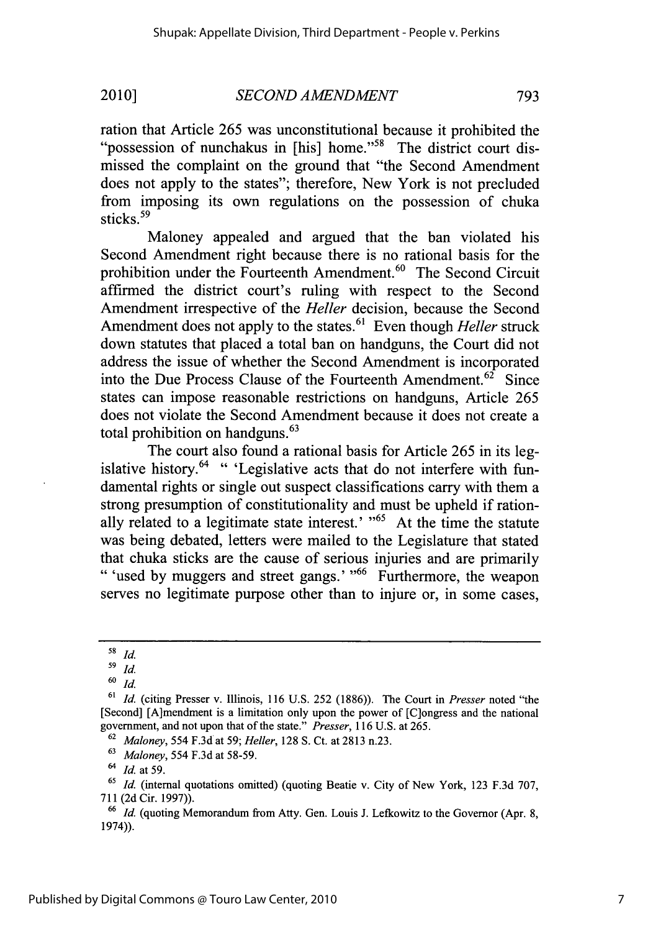ration that Article *265* was unconstitutional because it prohibited the "possession of nunchakus in [his] home."<sup>58</sup> The district court dismissed the complaint on the ground that "the Second Amendment does not apply to the states"; therefore, New York is not precluded from imposing its own regulations on the possession of chuka sticks.<sup>59</sup>

Maloney appealed and argued that the ban violated his Second Amendment right because there is no rational basis for the prohibition under the Fourteenth Amendment.<sup>60</sup> The Second Circuit affirmed the district court's ruling with respect to the Second Amendment irrespective of the *Heller* decision, because the Second Amendment does not apply to the states.<sup>61</sup> Even though *Heller* struck down statutes that placed a total ban on handguns, the Court did not address the issue of whether the Second Amendment is incorporated into the Due Process Clause of the Fourteenth Amendment.<sup>62</sup> Since states can impose reasonable restrictions on handguns, Article *265* does not violate the Second Amendment because it does not create a total prohibition on handguns.<sup>63</sup>

The court also found a rational basis for Article *265* in its legislative history.<sup>64</sup> " 'Legislative acts that do not interfere with fundamental rights or single out suspect classifications carry with them a strong presumption of constitutionality and must be upheld if rationally related to a legitimate state interest.' **"65** At the time the statute was being debated, letters were mailed to the Legislature that stated that chuka sticks are the cause of serious injuries and are primarily **"** 'used **by** muggers and street gangs.' **,66** Furthermore, the weapon serves no legitimate purpose other than to injure or, in some cases,

**<sup>59</sup>***Id.*

o *id.*

**<sup>60</sup>***id.*

**<sup>61</sup>***Id.* (citing Presser v. Illinois, **116 U.S. 252 (1886)).** The Court in *Presser* noted "the [Second] [A]mendment is a limitation only upon the power of [C]ongress and the national government, and not upon that of the state." *Presser, 116* **U.S.** at **265.**

**<sup>62</sup>***Maloney,* 554 **F.3d** at **59;** *Heller,* **128 S.** Ct. at **2813** n.23.

**<sup>63</sup>***Maloney,* 554 **F.3d** at **58-59.**

<sup>6</sup>*Id.* at **59.**

**<sup>65</sup>***Id.* (internal quotations omitted) (quoting Beatie v. City of New York, **123 F.3d 707, 711 (2d** Cir. **1997)).**

**<sup>66</sup>***Id.* (quoting Memorandum from Arty. Gen. Louis **J.** Lefkowitz to the Governor (Apr. **8,** 1974)).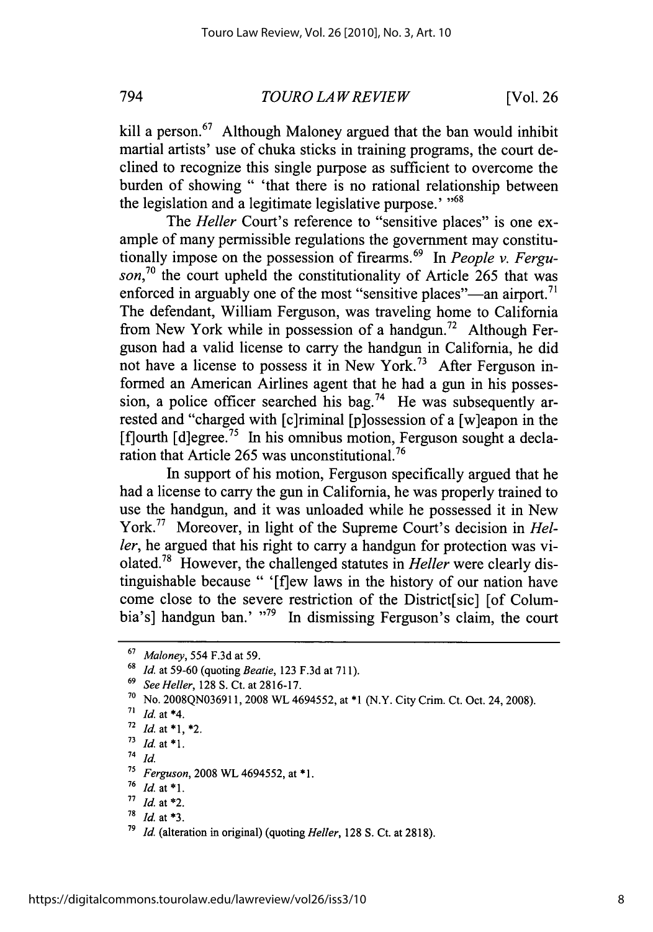*794 TOUROLAWREVIEW* [Vol. **26**

kill a person.<sup>67</sup> Although Maloney argued that the ban would inhibit martial artists' use of chuka sticks in training programs, the court declined to recognize this single purpose as sufficient to overcome the burden of showing **"** 'that there is no rational relationship between the legislation and a legitimate legislative purpose.' **"68**

The *Heller* Court's reference to "sensitive places" is one example of many permissible regulations the government may constitutionally impose on the possession of firearms.<sup>69</sup> In *People v. Ferguson,70* the court upheld the constitutionality of Article *265* that was enforced in arguably one of the most "sensitive places"—an airport.<sup>71</sup> The defendant, William Ferguson, was traveling home to California from New York while in possession of a handgun.<sup>72</sup> Although Ferguson had a valid license to carry the handgun in California, he did not have a license to possess it in New York.<sup>73</sup> After Ferguson informed an American Airlines agent that he had a gun in his possession, a police officer searched his bag.<sup>74</sup> He was subsequently arrested and "charged with [c]riminal [p]ossession of a [w]eapon in the  $[$ f $]$ ourth  $[$ d $]$ egree.<sup>75</sup> In his omnibus motion, Ferguson sought a declaration that Article *265* was unconstitutional.76

In support of his motion, Ferguson specifically argued that he had a license to carry the gun in California, he was properly trained to use the handgun, and it was unloaded while he possessed it in New **York.77** Moreover, in light of the Supreme Court's decision in *Heller,* he argued that his right to carry a handgun for protection was violated.<sup>78</sup> However, the challenged statutes in *Heller* were clearly distinguishable because **"** '[flew laws in the history of our nation have come close to the severe restriction of the District[sic] [of Columbia's] handgun ban.' "<sup>79</sup> In dismissing Ferguson's claim, the court

<sup>74</sup>*id.*

**<sup>67</sup>***Maloney, 554* **F.3d** at **59.**

**<sup>68</sup>***Id. at* **59-60** (quoting *Beatie,* **123 F.3d** at **711).**

**<sup>69</sup>***See Heller,* **128 S.** Ct. at **2816-17.**

**<sup>7</sup>o** No. **2008QN036911, 2008** WL *4694552,* at **\*1** (N.Y. City Crim. Ct. Oct. 24, **2008).**

**<sup>71</sup>** *Id.* at \*4.

**<sup>72</sup>Id.** at **\*1,** \*2.

 $73$  *Id.* at \*1.

**<sup>7</sup>** *Ferguson, 2008* **WL** *4694552,* at **\*1.**

**<sup>76</sup>** *Id. at \*1.*

n *Id.* at \*2.

**<sup>78</sup>***Id.* at **\*3.**

**<sup>79</sup>***Id.* (alteration in original) (quoting *Heller,* **128 S.** Ct. at **2818).**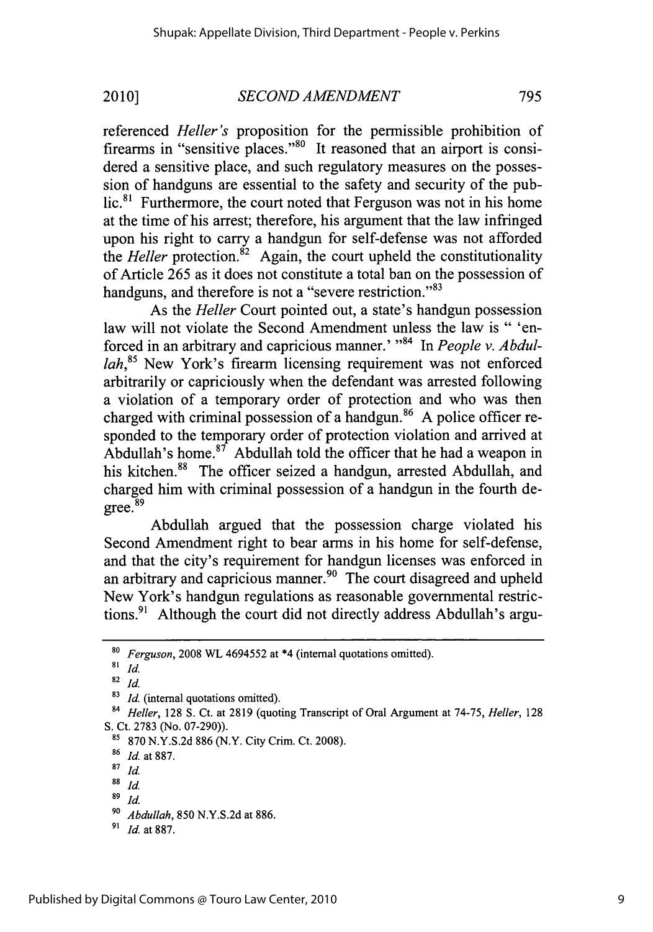referenced *Heller's* proposition for the permissible prohibition of firearms in "sensitive places."<sup>80</sup> It reasoned that an airport is considered a sensitive place, and such regulatory measures on the possession of handguns are essential to the safety and security of the pub $lic.<sup>81</sup>$  Furthermore, the court noted that Ferguson was not in his home at the time of his arrest; therefore, his argument that the law infringed upon his right to carry a handgun for self-defense was not afforded the *Heller* protection.<sup>82</sup> Again, the court upheld the constitutionality of Article *265* as it does not constitute a total ban on the possession of handguns, and therefore is not a "severe restriction."<sup>83</sup>

As the *Heller* Court pointed out, a state's handgun possession law will not violate the Second Amendment unless the law is **"** 'enforced in an arbitrary and capricious manner.' "<sup>84</sup> In People v. Abdul*lah*,<sup>85</sup> New York's firearm licensing requirement was not enforced arbitrarily or capriciously when the defendant was arrested following a violation of a temporary order of protection and who was then charged with criminal possession of a handgun.<sup>86</sup> A police officer responded to the temporary order of protection violation and arrived at Abdullah's home. $87$  Abdullah told the officer that he had a weapon in his kitchen.<sup>88</sup> The officer seized a handgun, arrested Abdullah, and charged him with criminal possession of a handgun in the fourth degree.<sup>89</sup>

Abdullah argued that the possession charge violated his Second Amendment right to bear arms in his home for self-defense, and that the city's requirement for handgun licenses was enforced in an arbitrary and capricious manner.<sup>90</sup> The court disagreed and upheld New York's handgun regulations as reasonable governmental restrictions.<sup>91</sup> Although the court did not directly address Abdullah's argu-

**<sup>80</sup>***Ferguson,* **2008** WL 4694552 at \*4 (internal quotations omitted).

**<sup>81</sup>** *Id.*

**<sup>82</sup>***Id.*

**<sup>83</sup>***Id.* (internal quotations omitted).

**<sup>84</sup>***Heller,* **128 S.** Ct. at **2819** (quoting Transcript of Oral Argument at **74-75,** *Heller, <sup>128</sup>* **S.** Ct. **2783** (No. **07-290)).**

**<sup>81</sup>870 N.Y.S.2d 886** (N.Y. City Crim. Ct. **2008).**

**<sup>86</sup>***Id* at **887.**

**<sup>87</sup>***id*

**<sup>88</sup>** *id*

**<sup>89</sup>***Id.*

**<sup>90</sup>***Abdullah, 850* **N.Y.S.2d** at **886.**

**<sup>9&#</sup>x27;** *Id.* at **887.**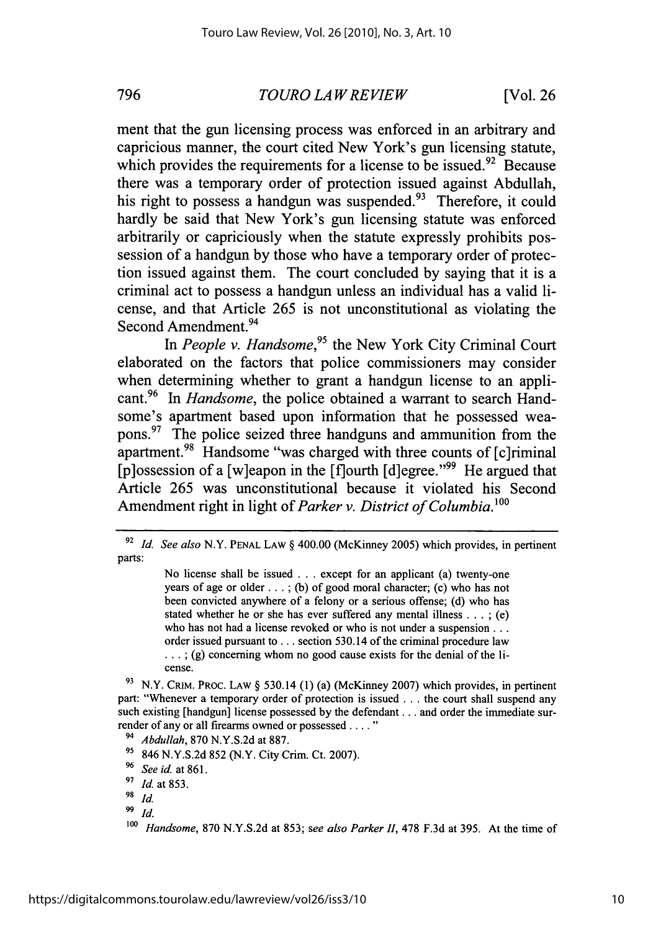*TOURO LAWREVIEW* **796** [Vol. **26**

ment that the gun licensing process was enforced in an arbitrary and capricious manner, the court cited New York's gun licensing statute, which provides the requirements for a license to be issued.<sup>92</sup> Because there was a temporary order of protection issued against Abdullah, his right to possess a handgun was suspended.<sup>93</sup> Therefore, it could hardly be said that New York's gun licensing statute was enforced arbitrarily or capriciously when the statute expressly prohibits possession of a handgun **by** those who have a temporary order of protection issued against them. The court concluded **by** saying that it is a criminal act to possess a handgun unless an individual has a valid license, and that Article **265** is not unconstitutional as violating the Second Amendment. <sup>94</sup>

In People v. Handsome,<sup>95</sup> the New York City Criminal Court elaborated on the factors that police commissioners may consider when determining whether to grant a handgun license to an appli**cant.96** *In Handsome,* the police obtained a warrant to search Handsome's apartment based upon information that he possessed weapons. 97 The police seized three handguns and ammunition from the apartment.<sup>98</sup> Handsome "was charged with three counts of [c]riminal [p]ossession of a [w]eapon in the  $[$ f]ourth  $[d]$ egree."<sup>99</sup> He argued that Article **265** was unconstitutional because it violated his Second Amendment right in light of *Parker v. District of Columbia.'o*

No license shall be issued **.** . **.** except for an applicant (a) twenty-one years of age or older **...** *;* **(b)** of good moral character; (c) who has not been convicted anywhere of a felony or a serious offense; **(d)** who has stated whether he or she has ever suffered any mental illness **.** . **.** *;* (e) who has not had a license revoked or who is not under a suspension **...** order issued pursuant to **...** section 530.14 of the criminal procedure law **... ; (g)** concerning whom no good cause exists for the denial of the license.

**<sup>9</sup>**N.Y. CRIM. PROC. **LAW** *§* 530.14 **(1)** (a) (McKinney **2007)** which provides, in pertinent part: "Whenever a temporary order of protection is issued **...** the court shall suspend any such existing [handgun] license possessed **by** the defendant **...** and order the immediate surrender of any or all firearms owned or possessed **..... "**

<sup>94</sup>*Abdullah,* **870 N.Y.S.2d** at **887.**

**9** 846 **N.Y.S.2d 852** (N.Y. City Crim. Ct. **2007).**

**<sup>92</sup>***Id. See also* N.Y. **PENAL** LAW *§* 400.00 (McKinney **2005)** which provides, in pertinent parts:

**<sup>96</sup>***See id. at 861.*

 $\frac{97}{98}$  *Id.* at 853.

**<sup>98</sup>***Id*

 $\frac{99}{100}$  *Id.* 

**<sup>100</sup>** *Handsome,* **870 N.Y.S.2d** at **853;** *see also Parker H1,* **478 F.3d** at *395.* At the time of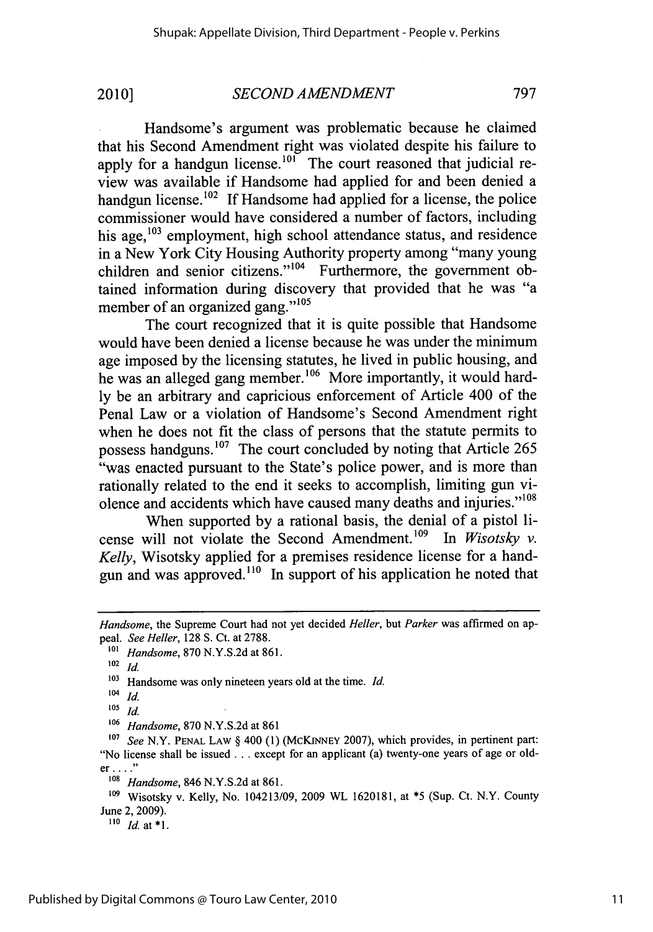Handsome's argument was problematic because he claimed that his Second Amendment right was violated despite his failure to apply for a handgun license.<sup>101</sup> The court reasoned that judicial review was available if Handsome had applied for and been denied a handgun license.<sup>102</sup> If Handsome had applied for a license, the police commissioner would have considered a number of factors, including his age,<sup>103</sup> employment, high school attendance status, and residence in a New York City Housing Authority property among "many young children and senior citizens." $104$  Furthermore, the government obtained information during discovery that provided that he was "a member of an organized gang."<sup>105</sup>

The court recognized that it is quite possible that Handsome would have been denied a license because he was under the minimum age imposed **by** the licensing statutes, he lived in public housing, and he was an alleged gang member.<sup>106</sup> More importantly, it would hard**ly** be an arbitrary and capricious enforcement of Article 400 of the Penal Law or a violation of Handsome's Second Amendment right when he does not fit the class of persons that the statute permits to possess handguns.<sup>107</sup> The court concluded by noting that Article 265 "was enacted pursuant to the State's police power, and is more than rationally related to the end it seeks to accomplish, limiting gun violence and accidents which have caused many deaths and injuries."<sup>108</sup>

When supported **by** a rational basis, the denial of a pistol license will not violate the Second Amendment.<sup>109</sup> In *Wisotsky v*. *Kelly,* Wisotsky applied for a premises residence license for a handgun and was approved.<sup>110</sup> In support of his application he noted that

*Handsome,* the Supreme Court had not yet decided *Heller, but Parker* was affirmed on appeal. *See Heller,* **128 S.** Ct. at **2788.**

**<sup>1</sup>o1** *Handsome,* **870 N.Y.S.2d** at **861.**

**<sup>102</sup>***id.*

<sup>&</sup>lt;sup>103</sup> Handsome was only nineteen years old at the time. *Id.* 

 $104$  *Id.* 

**<sup>105</sup>***Id.*

**<sup>106</sup>***Handsome,* **870 N.Y.S.2d** at **861**

**<sup>107</sup>***See* N.Y. **PENAL** LAW **§** 400 **(1)** (McKINNEY **2007),** which provides, in pertinent part: "No license shall be issued **...** except for an applicant (a) twenty-one years of age or old**er...."**

*<sup>108</sup>Handsome,* 846 **N.Y.S.2d** at **861.**

**<sup>109</sup>**Wisotsky v. Kelly, No. 104213/09, **2009** WL **1620181,** at *\*5* (Sup. Ct. N.Y. County June 2, **2009).**

*<sup>&</sup>quot;o Id. at* **\*1.**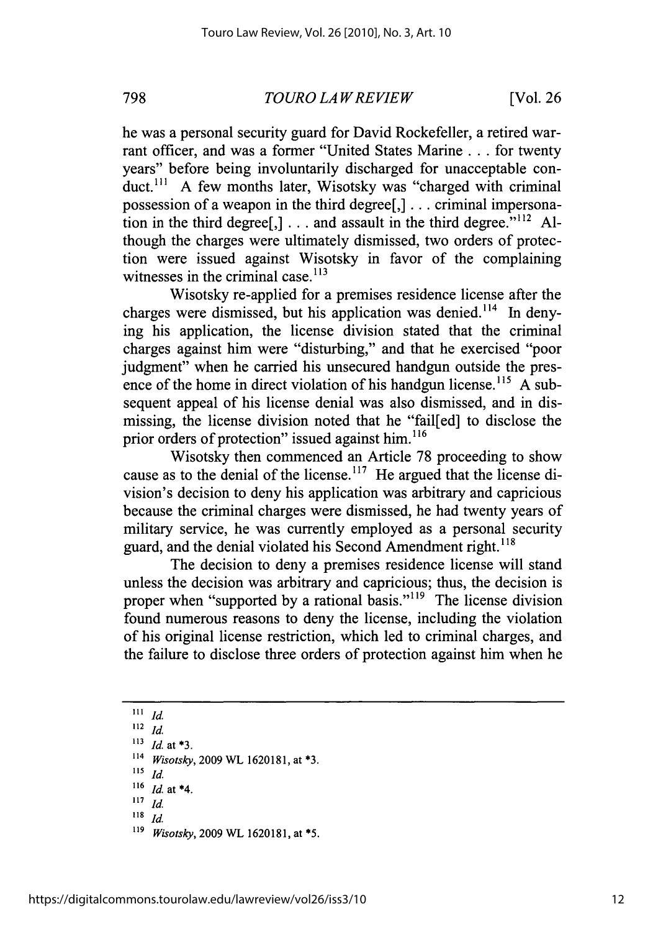*TOURO LAWREVIEW* **798** [Vol. **26**

he was a personal security guard for David Rockefeller, a retired warrant officer, and was a former "United States Marine **.** . **.** for twenty years" before being involuntarily discharged for unacceptable conduct.<sup>111</sup> A few months later, Wisotsky was "charged with criminal possession of a weapon in the third degree[,] **.** . **.** criminal impersonation in the third degree $\lceil$ ,  $\rceil$ ... and assault in the third degree.<sup>"112</sup> Although the charges were ultimately dismissed, two orders of protection were issued against Wisotsky in favor of the complaining witnesses in the criminal case. $113$ 

Wisotsky re-applied for a premises residence license after the charges were dismissed, but his application was denied.<sup>114</sup> In denying his application, the license division stated that the criminal charges against him were "disturbing," and that he exercised "poor judgment" when he carried his unsecured handgun outside the presence of the home in direct violation of his handgun license.<sup>115</sup> A subsequent appeal of his license denial was also dismissed, and in dismissing, the license division noted that he "fail[ed] to disclose the prior orders of protection" issued against him. $^{116}$ 

Wisotsky then commenced an Article **78** proceeding to show cause as to the denial of the license.<sup>117</sup> He argued that the license division's decision to deny his application was arbitrary and capricious because the criminal charges were dismissed, he had twenty years of military service, he was currently employed as a personal security guard, and the denial violated his Second Amendment right.<sup>118</sup>

The decision to deny a premises residence license will stand unless the decision was arbitrary and capricious; thus, the decision is proper when "supported by a rational basis."<sup>119</sup> The license division found numerous reasons to deny the license, including the violation of his original license restriction, which led to criminal charges, and the failure to disclose three orders of protection against him when he

- $118$  *Id.*
- **"9** *Wisotsky,* **2009** WL **1620181,** *at* **\*5.**

 $111$  *Id.* 

**<sup>112</sup>***id*

**<sup>&</sup>quot;3** *Id. at* **\*3.**

**<sup>114</sup>***Wisotsky,* **2009** WL **1620181,** *at* **\*3.**

**<sup>115</sup>***Id.*

 $\frac{116}{117}$  *Id.* at \*4.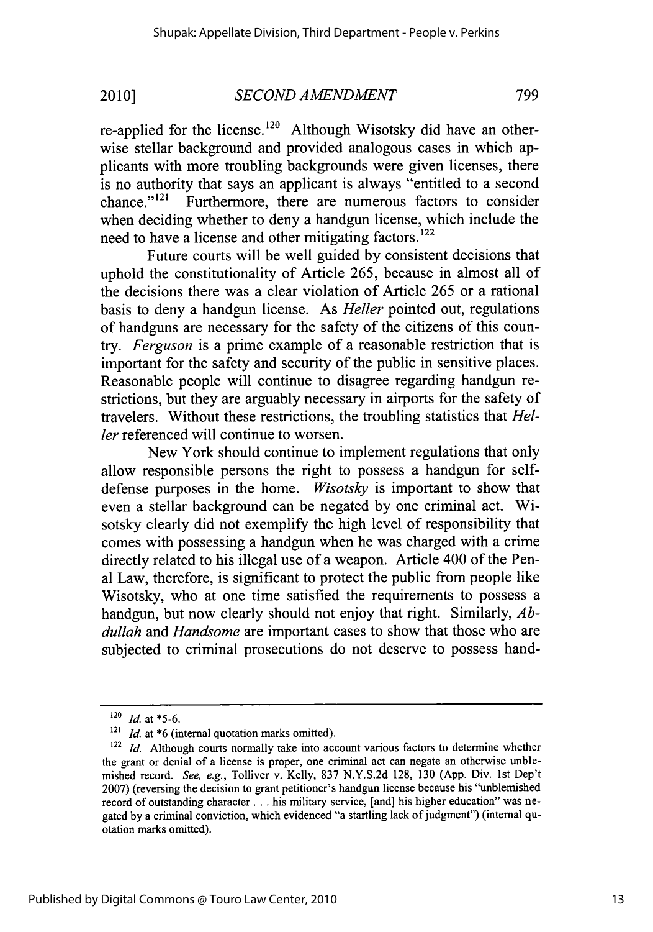re-applied for the license.<sup>120</sup> Although Wisotsky did have an otherwise stellar background and provided analogous cases in which applicants with more troubling backgrounds were given licenses, there is no authority that says an applicant is always "entitled to a second chance." $121$  Furthermore, there are numerous factors to consider when deciding whether to deny a handgun license, which include the need to have a license and other mitigating factors.<sup>122</sup>

Future courts will be well guided **by** consistent decisions that uphold the constitutionality of Article *265,* because in almost all of the decisions there was a clear violation of Article *265* or a rational basis to deny a handgun license. As *Heller* pointed out, regulations of handguns are necessary for the safety of the citizens of this coun*try. Ferguson* is a prime example of a reasonable restriction that is important for the safety and security of the public in sensitive places. Reasonable people will continue to disagree regarding handgun restrictions, but they are arguably necessary in airports for the safety of travelers. Without these restrictions, the troubling statistics that *Hel*ler referenced will continue to worsen.

New York should continue to implement regulations that only allow responsible persons the right to possess a handgun for selfdefense purposes in the home. *Wisotsky* is important to show that even a stellar background can be negated **by** one criminal act. Wisotsky clearly did not exemplify the high level of responsibility that comes with possessing a handgun when he was charged with a crime directly related to his illegal use of a weapon. Article 400 of the Penal Law, therefore, is significant to protect the public from people like Wisotsky, who at one time satisfied the requirements to possess a handgun, but now clearly should not enjoy that right. Similarly, *Abdullah and Handsome* are important cases to show that those who are subjected to criminal prosecutions do not deserve to possess hand-

**<sup>120</sup>** *Id.* at *\*5-6.*

**<sup>121</sup>***Id.* at **\*6** (internal quotation marks omitted).

**<sup>122</sup>** *Id.* Although courts normally take into account various factors to determine whether the grant or denial of a license is proper, one criminal act can negate an otherwise unblemished record. See, e.g., Tolliver v. Kelly, **837 N.Y.S.2d 128, 130 (App.** Div. 1st Dep't **2007)** (reversing the decision to grant petitioner's handgun license because his "unblemished record of outstanding character **. ..** his military service, [and] his higher education" was negated **by** a criminal conviction, which evidenced "a startling lack of judgment") (internal quotation marks omitted).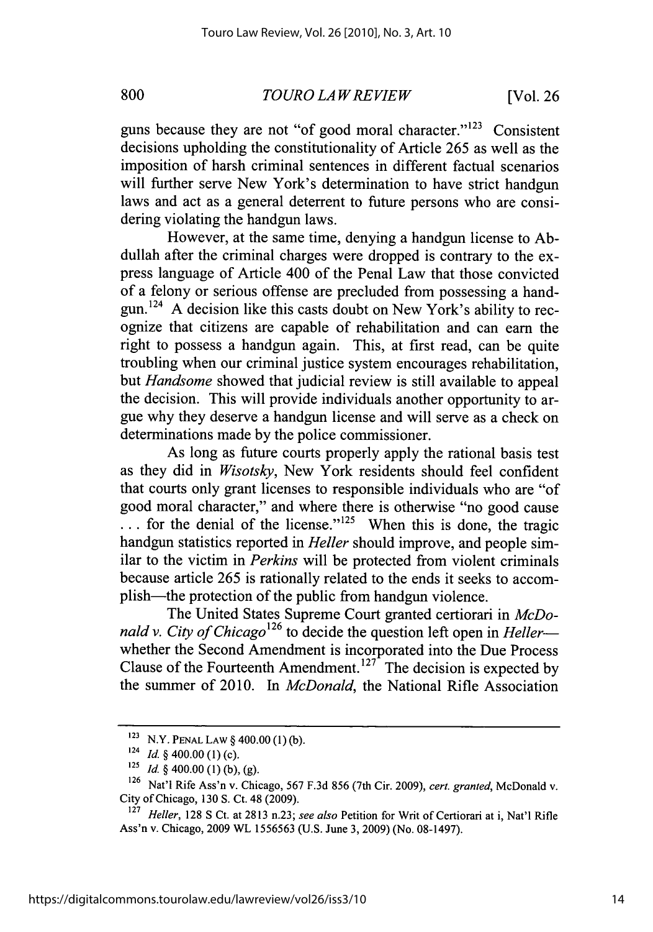*TO URO LAW RE VIEW* **800** [Vol. **26**

guns because they are not "of good moral character." $^{123}$  Consistent decisions upholding the constitutionality of Article *265* as well as the imposition of harsh criminal sentences in different factual scenarios will further serve New York's determination to have strict handgun laws and act as a general deterrent to future persons who are considering violating the handgun laws.

However, at the same time, denying a handgun license to **Ab**dullah after the criminal charges were dropped is contrary to the express language of Article 400 of the Penal Law that those convicted of a felony or serious offense are precluded from possessing a handgun.124 **A** decision like this casts doubt on New York's ability to recognize that citizens are capable of rehabilitation and can earn the right to possess a handgun again. This, at first read, can be quite troubling when our criminal justice system encourages rehabilitation, *but Handsome* showed that judicial review is still available to appeal the decision. This will provide individuals another opportunity to argue why they deserve a handgun license and will serve as a check on determinations made **by** the police commissioner.

As long as future courts properly apply the rational basis test as they did in *Wisotsky,* New York residents should feel confident that courts only grant licenses to responsible individuals who are "of good moral character," and where there is otherwise "no good cause  $\ldots$  for the denial of the license."<sup>125</sup> When this is done, the tragic handgun statistics reported in *Heller* should improve, and people similar to the victim in *Perkins* will be protected from violent criminals because article **265** is rationally related to the ends it seeks to accomplish-the protection of the public from handgun violence.

The United States Supreme Court granted certiorari in *McDonald v. City of Chicago*<sup>126</sup> to decide the question left open in *Heller* whether the Second Amendment is incorporated into the Due Process Clause of the Fourteenth Amendment.127 The decision is expected **by** the summer of 2010. In *McDonald,* the National Rifle Association

**<sup>123</sup>**N.Y. **PENAL** LAW **§** 400.00 **(1) (b).**

**<sup>124</sup>***Id. §* 400.00 **(1)** (c).

**<sup>125</sup>***Id. §* 400.00 **(1) (b), (g).**

**<sup>126</sup>**Nat'l Rife Ass'n v. Chicago, **567 F.3d** *856* (7th Cir. **2009),** *cert. granted,* McDonald v. City of Chicago, **130 S.** Ct. 48 **(2009).**

**<sup>127</sup>***Heller,* **128 S** Ct. at **2813** n.23; *see also* Petition for Writ of Certiorari at i, Nat'1 Rifle Ass'n v. Chicago, **2009** WL **1556563 (U.S.** June **3, 2009)** (No. **08-1497).**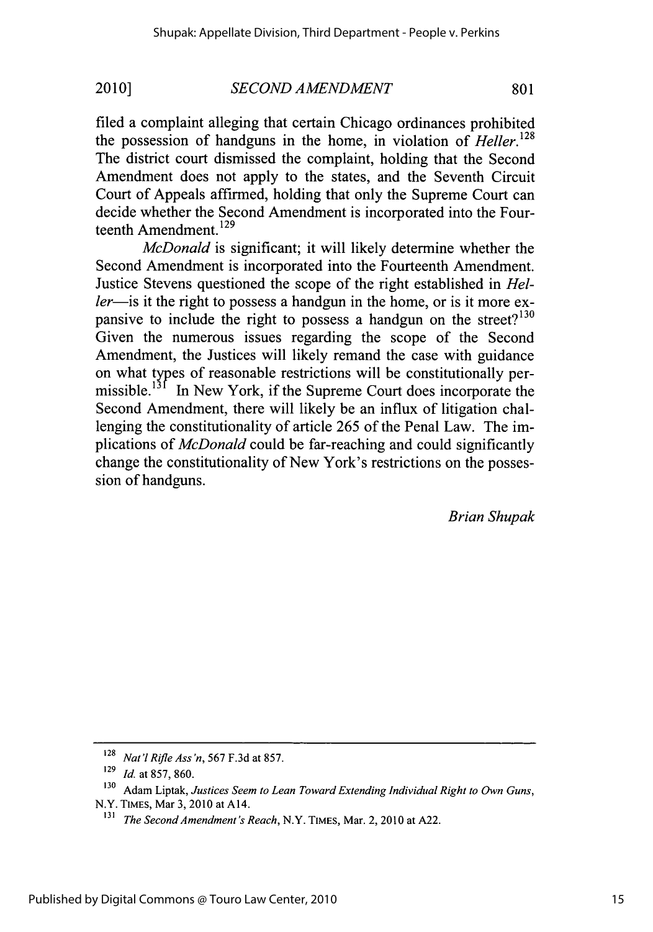filed a complaint alleging that certain Chicago ordinances prohibited the possession of handguns in the home, in violation of *Heller.128* The district court dismissed the complaint, holding that the Second Amendment does not apply to the states, and the Seventh Circuit Court of Appeals affirmed, holding that only the Supreme Court can decide whether the Second Amendment is incorporated into the Fourteenth Amendment.<sup>129</sup>

*McDonald* is significant; it will likely determine whether the Second Amendment is incorporated into the Fourteenth Amendment. Justice Stevens questioned the scope of the right established in *Heller*—is it the right to possess a handgun in the home, or is it more expansive to include the right to possess a handgun on the street? $130$ Given the numerous issues regarding the scope of the Second Amendment, the Justices will likely remand the case with guidance on what types of reasonable restrictions will be constitutionally permissible.<sup>131</sup> In New York, if the Supreme Court does incorporate the Second Amendment, there will likely be an influx of litigation challenging the constitutionality of article *265* of the Penal Law. The implications of *McDonald* could be far-reaching and could significantly change the constitutionality of New York's restrictions on the possession of handguns.

*Brian Shupak*

**<sup>128</sup>***Nat'1Rifle Ass'n, 567* **F.3d** at *857.*

**<sup>129</sup>***Id. at* **857, 860.**

**<sup>130</sup>**Adam Liptak, *Justices Seem to Lean Toward Extending Individual Right to Own Guns,* N.Y. **TIMES,** Mar **3, 2010** at A14.

**<sup>131</sup>***The Second Amendment's Reach,* N.Y. **TIMES,** Mar. 2, 2010 at **A22.**